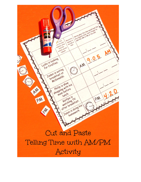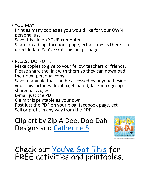• YOU MAY…

Print as many copies as you would like for your OWN personal use Save this file on YOUR computer Share on a blog, facebook page, ect as long as there is a direct link to You've Got This or TpT page.

• PLEASE DO NOT…

Make copies to give to your fellow teachers or friends. Please share the link with them so they can download their own personal copy.

Save to any file that can be accessed by anyone besides you. This includes dropbox, 4shared, facebook groups, shared drives, ect

E-mail just the PDF

Claim this printable as your own

Post just the PDF on your blog, facebook page, ect Sell or profit in any way from the PDF

Clip art by Zip A Dee, Doo Dah Designs and [Catherine S](https://www.teacherspayteachers.com/Store/Graphics-By-Catherine-S)



## Check out You've [Got This](http://youvegotthismath.com/) for FREE activities and printables.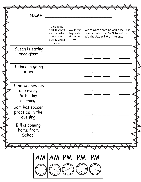|                                                      | Glue in the<br>clock that best<br>matches what<br>time the<br>activity would<br>happen | Would this<br>happen in<br>the AM or<br>PM? | Write what the time would look like<br>on a digital clock. Don't forget to<br>add the AM or PM at the end. |
|------------------------------------------------------|----------------------------------------------------------------------------------------|---------------------------------------------|------------------------------------------------------------------------------------------------------------|
| Susan is eating<br>breakfast                         |                                                                                        |                                             |                                                                                                            |
| Juliana is going<br>to bed                           |                                                                                        |                                             |                                                                                                            |
| John washes his<br>dog every<br>Saturday<br>morning. |                                                                                        |                                             |                                                                                                            |
| Sam has soccer<br>practice in the<br>evening         |                                                                                        |                                             |                                                                                                            |
| Bill is coming<br>home from<br>School                |                                                                                        |                                             |                                                                                                            |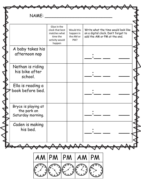| A baby takes his<br>afternoon nap<br>Nathan is riding<br>his bike after<br>school.<br>Ella is reading a<br>book before bed.<br>Bryce is playing at<br>the park on<br>Saturday morning.<br>Caden is making<br>his bed. | Glue in the<br>clock that best<br>matches what<br>time the<br>activity would<br>happen | Would this<br>happen in<br>the AM or<br>PM? | Write what the time would look like<br>on a digital clock. Don't forget to<br>add the AM or PM at the end. |
|-----------------------------------------------------------------------------------------------------------------------------------------------------------------------------------------------------------------------|----------------------------------------------------------------------------------------|---------------------------------------------|------------------------------------------------------------------------------------------------------------|
|                                                                                                                                                                                                                       |                                                                                        |                                             |                                                                                                            |
|                                                                                                                                                                                                                       |                                                                                        |                                             |                                                                                                            |
|                                                                                                                                                                                                                       |                                                                                        |                                             |                                                                                                            |
|                                                                                                                                                                                                                       |                                                                                        |                                             |                                                                                                            |
|                                                                                                                                                                                                                       |                                                                                        |                                             |                                                                                                            |